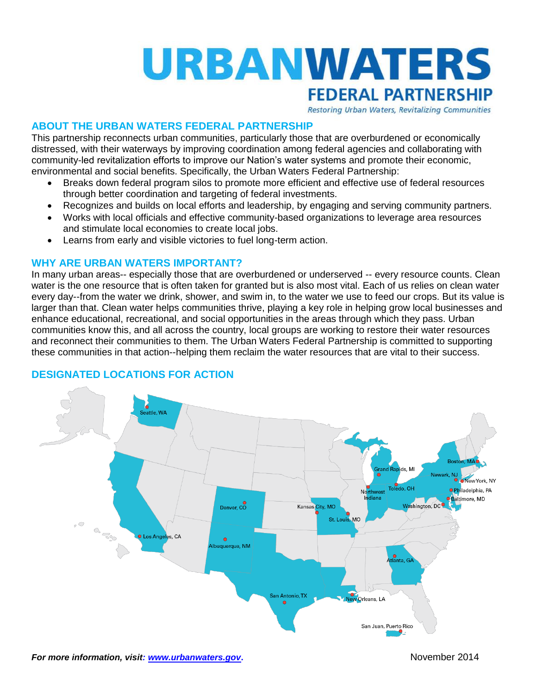

Restoring Urban Waters, Revitalizing Communities

## **ABOUT THE URBAN WATERS FEDERAL PARTNERSHIP**

This partnership reconnects urban communities, particularly those that are overburdened or economically distressed, with their waterways by improving coordination among federal agencies and collaborating with community-led revitalization efforts to improve our Nation's water systems and promote their economic, environmental and social benefits. Specifically, the Urban Waters Federal Partnership:

- Breaks down federal program silos to promote more efficient and effective use of federal resources through better coordination and targeting of federal investments.
- Recognizes and builds on local efforts and leadership, by engaging and serving community partners.
- Works with local officials and effective community-based organizations to leverage area resources and stimulate local economies to create local jobs.
- Learns from early and visible victories to fuel long-term action.

### **WHY ARE URBAN WATERS IMPORTANT?**

In many urban areas-- especially those that are overburdened or underserved -- every resource counts. Clean water is the one resource that is often taken for granted but is also most vital. Each of us relies on clean water every day--from the water we drink, shower, and swim in, to the water we use to feed our crops. But its value is larger than that. Clean water helps communities thrive, playing a key role in helping grow local businesses and enhance educational, recreational, and social opportunities in the areas through which they pass. Urban communities know this, and all across the country, local groups are working to restore their water resources and reconnect their communities to them. The Urban Waters Federal Partnership is committed to supporting these communities in that action--helping them reclaim the water resources that are vital to their success.



# **DESIGNATED LOCATIONS FOR ACTION**